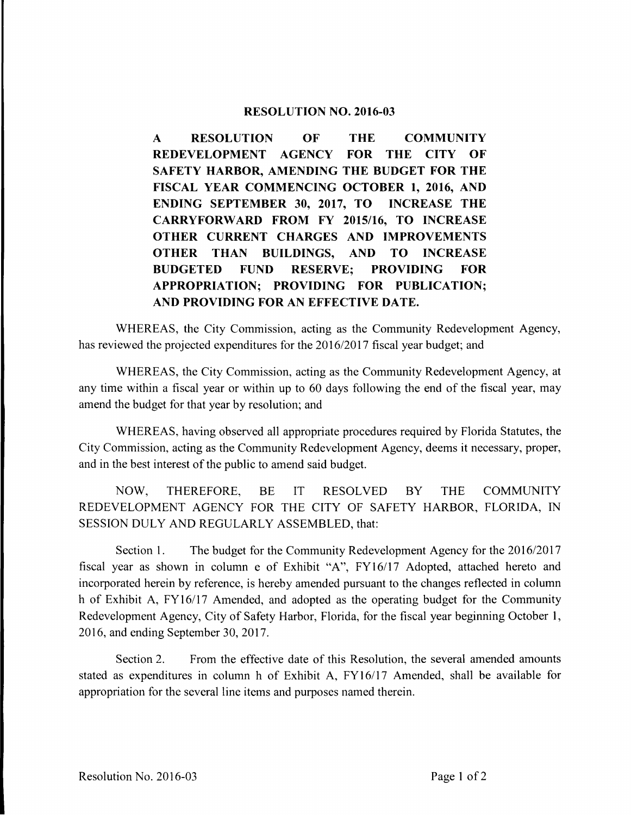## **RESOLUTION NO. 2016-03**

**A RESOLUTION OF THE COMMUNITY REDEVELOPMENT AGENCY FOR THE CITY OF SAFETY HARBOR, AMENDING THE BUDGET FOR THE FISCAL YEAR COMMENCING OCTOBER 1, 2016, AND ENDING SEPTEMBER 30, 2017, TO INCREASE THE CARRYFORWARD FROM FY 2015/16, TO INCREASE OTHER CURRENT CHARGES AND IMPROVEMENTS OTHER THAN BUILDINGS, AND TO INCREASE BUDGETED FUND RESERVE; PROVIDING FOR APPROPRIATION; PROVIDING FOR PUBLICATION; AND PROVIDING FOR AN EFFECTIVE DATE.** 

WHEREAS, the City Commission, acting as the Community Redevelopment Agency, has reviewed the projected expenditures for the 2016/2017 fiscal year budget; and

WHEREAS, the City Commission, acting as the Community Redevelopment Agency, at any time within a fiscal year or within up to 60 days following the end of the fiscal year, may amend the budget for that year by resolution; and

WHEREAS, having observed all appropriate procedures required by Florida Statutes, the City Commission, acting as the Community Redevelopment Agency, deems it necessary, proper, and in the best interest of the public to amend said budget.

NOW, THEREFORE, BE IT RESOLVED BY THE COMMUNITY REDEVELOPMENT AGENCY FOR THE CITY OF SAFETY HARBOR, FLORIDA, IN SESSION DULY AND REGULARLY ASSEMBLED, that:

Section 1. The budget for the Community Redevelopment Agency for the 2016/2017 fiscal year as shown in column e of Exhibit "A", FY16/17 Adopted, attached hereto and incorporated herein by reference, is hereby amended pursuant to the changes reflected in column h of Exhibit A, FY16/17 Amended, and adopted as the operating budget for the Community Redevelopment Agency, City of Safety Harbor, Florida, for the fiscal year beginning October 1, 2016, and ending September 30, 2017.

Section 2. From the effective date of this Resolution, the several amended amounts stated as expenditures in column h of Exhibit A, FY16/17 Amended, shall be available for appropriation for the several line items and purposes named therein.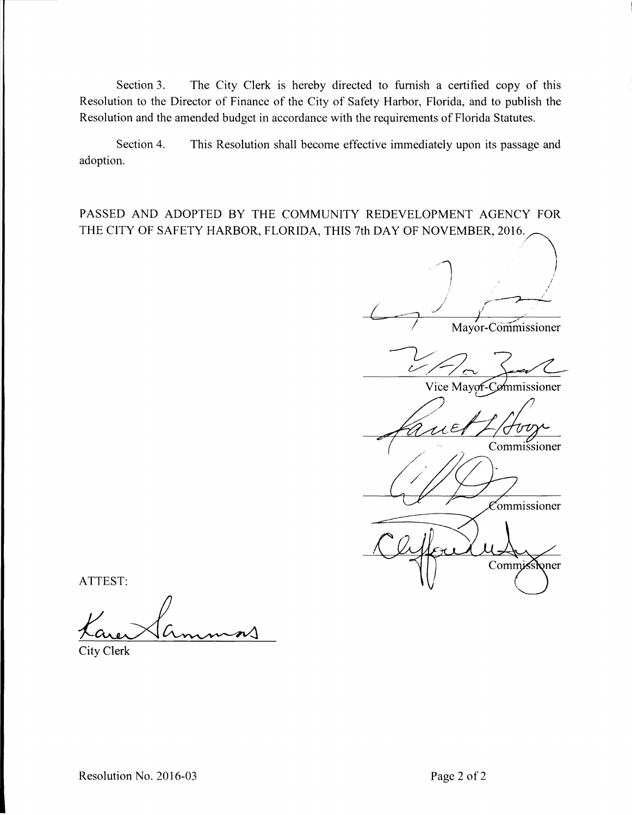Section 3. The City Clerk is hereby directed to furnish a certified copy of this Resolution to the Director of Finance of the City of Safety Harbor, Florida, and to publish the Resolution and the amended budget in accordance with the requirements of Florida Statutes.

Section 4. This Resolution shall become effective immediately upon its passage and adoption.

PASSED AND ADOPTED BY THE COMMUNITY REDEVELOPMENT AGENCY FOR THE CITY OF SAFETY HARBOR, FLORIDA, THIS 7th DAY OF NOVEMBER, 2016.

Mayor-Commissioner Vice Mayor-Commissioner Commissioner Commissioner Commissioner

ATTEST:

**City Clerk**